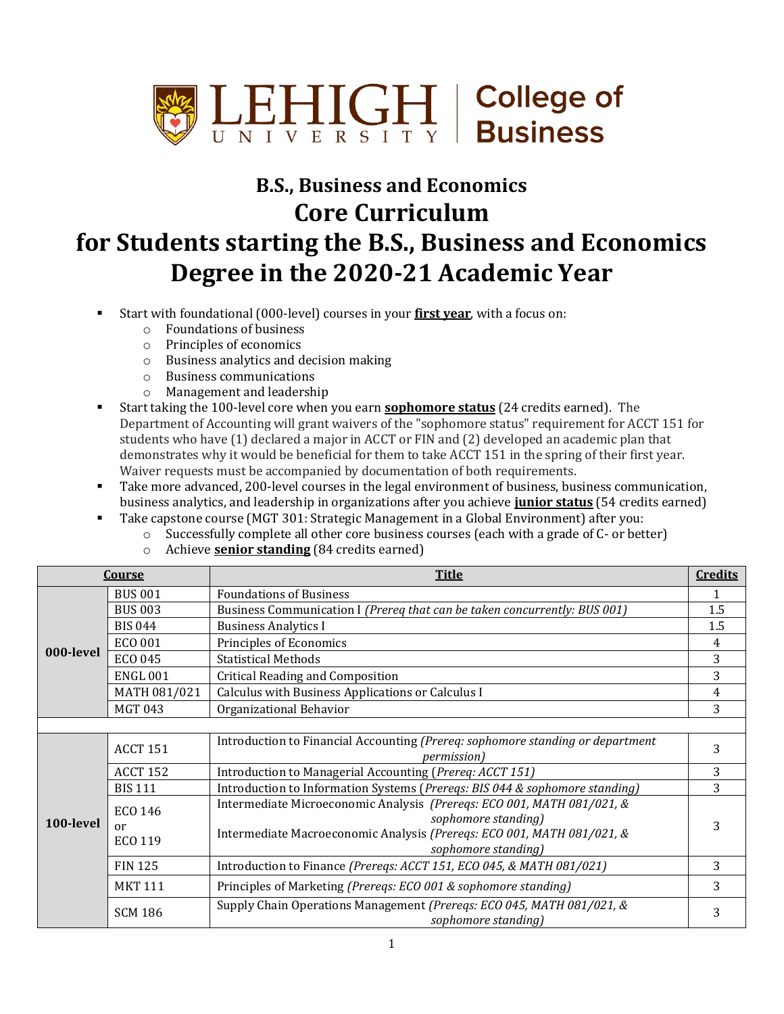

## **B.S., Business and Economics Core Curriculum for Students starting the B.S., Business and Economics Degree in the 2020-21 Academic Year**

- Start with foundational (000-level) courses in your **first year**, with a focus on:
	- o Foundations of business
	- o Principles of economics
	- o Business analytics and decision making
	- o Business communications
	- o Management and leadership
- Start taking the 100-level core when you earn **sophomore status** (24 credits earned). The Department of Accounting will grant waivers of the "sophomore status" requirement for ACCT 151 for students who have (1) declared a major in ACCT or FIN and (2) developed an academic plan that demonstrates why it would be beneficial for them to take ACCT 151 in the spring of their first year. Waiver requests must be accompanied by documentation of both requirements.
- Take more advanced, 200-level courses in the legal environment of business, business communication, business analytics, and leadership in organizations after you achieve **junior status** (54 credits earned)
- Take capstone course (MGT 301: Strategic Management in a Global Environment) after you:
	- o Successfully complete all other core business courses (each with a grade of C- or better)
	- o Achieve **senior standing** (84 credits earned)

| <b>Course</b> |                                 | <b>Title</b>                                                                                                                                                                                   | <b>Credits</b> |  |  |
|---------------|---------------------------------|------------------------------------------------------------------------------------------------------------------------------------------------------------------------------------------------|----------------|--|--|
| 000-level     | <b>BUS 001</b>                  | <b>Foundations of Business</b>                                                                                                                                                                 |                |  |  |
|               | <b>BUS 003</b>                  | Business Communication I (Prereq that can be taken concurrently: BUS 001)                                                                                                                      | 1.5            |  |  |
|               | <b>BIS 044</b>                  | <b>Business Analytics I</b>                                                                                                                                                                    | 1.5            |  |  |
|               | ECO 001                         | Principles of Economics                                                                                                                                                                        | 4              |  |  |
|               | <b>ECO 045</b>                  | <b>Statistical Methods</b>                                                                                                                                                                     | 3              |  |  |
|               | <b>ENGL 001</b>                 | <b>Critical Reading and Composition</b>                                                                                                                                                        | 3              |  |  |
|               | MATH 081/021                    | Calculus with Business Applications or Calculus I                                                                                                                                              | 4              |  |  |
|               | <b>MGT 043</b>                  | Organizational Behavior                                                                                                                                                                        | 3              |  |  |
|               |                                 |                                                                                                                                                                                                |                |  |  |
|               | <b>ACCT 151</b>                 | Introduction to Financial Accounting (Prereq: sophomore standing or department<br><i>permission</i> )                                                                                          | 3              |  |  |
|               | <b>ACCT 152</b>                 | Introduction to Managerial Accounting (Prereq: ACCT 151)                                                                                                                                       | 3              |  |  |
|               | <b>BIS 111</b>                  | Introduction to Information Systems (Prereqs: BIS 044 & sophomore standing)                                                                                                                    | 3              |  |  |
| 100-level     | <b>ECO 146</b><br>or<br>ECO 119 | Intermediate Microeconomic Analysis (Prereqs: ECO 001, MATH 081/021, &<br>sophomore standing)<br>Intermediate Macroeconomic Analysis (Preregs: ECO 001, MATH 081/021, &<br>sophomore standing) | 3              |  |  |
|               | <b>FIN 125</b>                  | Introduction to Finance (Preregs: ACCT 151, ECO 045, & MATH 081/021)                                                                                                                           | 3              |  |  |
|               | <b>MKT 111</b>                  | Principles of Marketing (Prereqs: ECO 001 & sophomore standing)                                                                                                                                | 3              |  |  |
|               | <b>SCM 186</b>                  | Supply Chain Operations Management (Prereqs: ECO 045, MATH 081/021, &<br>sophomore standing)                                                                                                   | 3              |  |  |